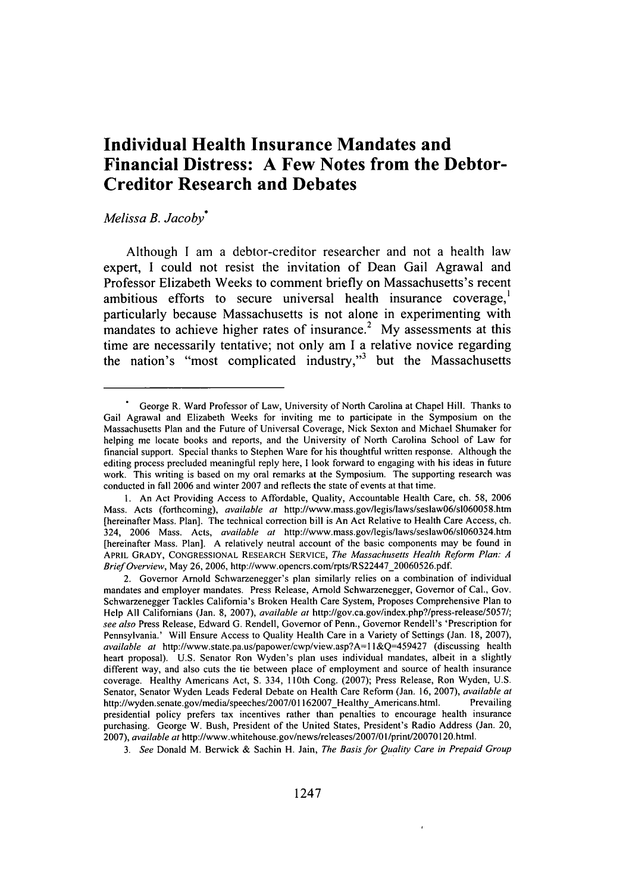## **Individual Health Insurance Mandates and Financial Distress: A Few Notes from the Debtor-Creditor Research and Debates**

## *Melissa B. Jacoby\**

Although **I** am a debtor-creditor researcher and not a health law expert, **I** could not resist the invitation of Dean Gail Agrawal and Professor Elizabeth Weeks to comment briefly on Massachusetts's recent ambitious efforts to secure universal health insurance coverage,' particularly because Massachusetts is not alone in experimenting with mandates to achieve higher rates of insurance.<sup>2</sup> My assessments at this time are necessarily tentative; not only am **I** a relative novice regarding the nation's "most complicated industry,"<sup>3</sup> but the Massachusetts

George R. Ward Professor of Law, University of North Carolina at Chapel Hill. Thanks to Gail Agrawal and Elizabeth Weeks for inviting me to participate in the Symposium on the Massachusetts Plan and the Future of Universal Coverage, Nick Sexton and Michael Shumaker for helping me locate books and reports, and the University of North Carolina School of Law for financial support. Special thanks to Stephen Ware for his thoughtful written response. Although the editing process precluded meaningful reply here, **I** look forward to engaging with his ideas in future work. This writing is based on my oral remarks at the Symposium. The supporting research was conducted in fall 2006 and winter 2007 and reflects the state of events at that time.

**<sup>1.</sup>** An Act Providing Access to Affordable, Quality, Accountable Health Care, ch. 58, 2006 Mass. Acts (forthcoming), *available at* http://www.mass.gov/legis/laws/seslaw06/slO60058.htm [hereinafter Mass. Plan]. The technical correction bill is An Act Relative to Health Care Access, ch. 324, 2006 Mass. Acts, *available at* http://www.mass.gov/legis/laws/seslaw06/slO60324.htm [hereinafter Mass. Plan]. A relatively neutral account of the basic components may be found in APRIL GRADY, CONGRESSIONAL RESEARCH SERVICE, *The Massachusetts Health Reform Plan: A Brief Overview,* May 26, 2006, http://www.opencrs.com/rpts/RS22447\_20060526.pdf.

<sup>2.</sup> Governor Arnold Schwarzenegger's plan similarly relies on a combination of individual mandates and employer mandates. Press Release, Arnold Schwarzenegger, Governor of Cal., Gov. Schwarzenegger Tackles California's Broken Health Care System, Proposes Comprehensive Plan to Help All Californians (Jan. 8, 2007), *available at* http://gov.ca.gov/index.php?/press-release/5057/; *see also* Press Release, Edward G. Rendell, Governor of Penn., Governor Rendell's 'Prescription for Pennsylvania.' Will Ensure Access to Quality Health Care in a Variety of Settings (Jan. 18, 2007), *available at* http://www.state.pa.us/papower/cwp/view.asp?A= ll&Q=459427 (discussing health heart proposal). U.S. Senator Ron Wyden's plan uses individual mandates, albeit in a slightly different way, and also cuts the tie between place of employment and source of health insurance coverage. Healthy Americans Act, **S.** 334, 110th Cong. (2007); Press Release, Ron Wyden, U.S. Senator, Senator Wyden Leads Federal Debate on Health Care Reform (Jan. 16, 2007), *available at* http://wyden.senate.gov/media/speeches/2007/01162007 Healthy Americans.html. Prevailing presidential policy prefers tax incentives rather than penalties to encourage health insurance purchasing. George W. Bush, President of the United States, President's Radio Address (Jan. 20, 2007), *available at* http://www.whitehouse.gov/news/releases/2007/01/print/20070120.html.

*<sup>3.</sup> See* Donald M. Berwick & Sachin H. Jain, *The Basis for Quality Care in Prepaid Group*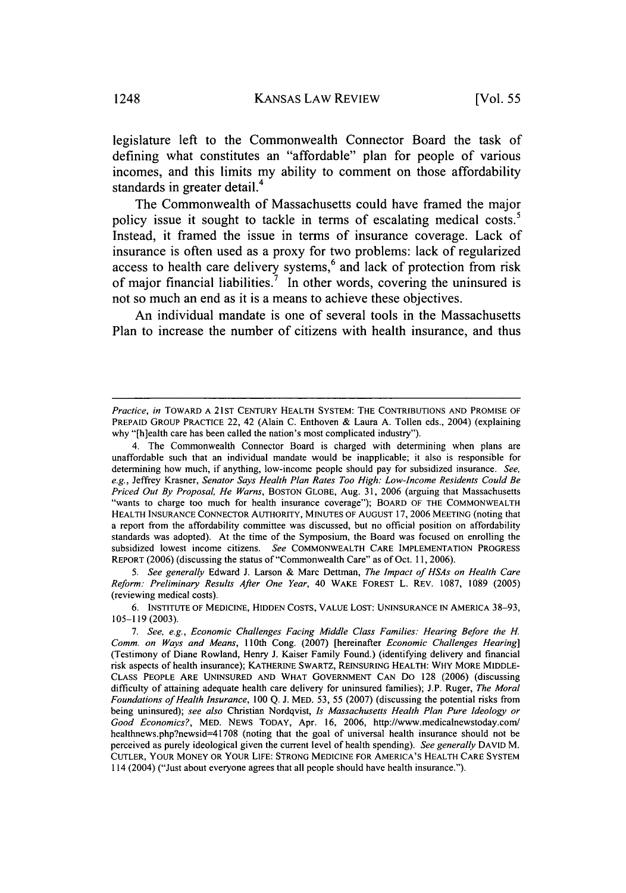legislature left to the Commonwealth Connector Board the task of defining what constitutes an "affordable" plan for people of various incomes, and this limits my ability to comment on those affordability standards in greater detail.<sup>4</sup>

The Commonwealth of Massachusetts could have framed the major policy issue it sought to tackle in terms of escalating medical costs.<sup>5</sup> Instead, it framed the issue in terms of insurance coverage. Lack of insurance is often used as a proxy for two problems: lack of regularized access to health care delivery systems,<sup>6</sup> and lack of protection from risk of major financial liabilities.<sup>7</sup> In other words, covering the uninsured is not so much an end as it is a means to achieve these objectives.

An individual mandate is one of several tools in the Massachusetts Plan to increase the number of citizens with health insurance, and thus

*5. See generally* Edward J. Larson & Marc Dettman, *The Impact of HSAs on Health Care Reform: Preliminary Results After One Year,* 40 WAKE FOREST L. REV. 1087, 1089 (2005) (reviewing medical costs).

*Practice, in* TOWARD A 21ST CENTURY HEALTH SYSTEM: THE CONTRIBUTIONS AND PROMISE OF PREPAID GROUP PRACTICE 22, 42 (Alain C. Enthoven & Laura A. Tollen eds., 2004) (explaining why "[h]ealth care has been called the nation's most complicated industry").

<sup>4.</sup> The Commonwealth Connector Board is charged with determining when plans are unaffordable such that an individual mandate would be inapplicable; it also is responsible for determining how much, if anything, low-income people should pay for subsidized insurance. *See, e.g.,* Jeffrey Krasner, *Senator Says Health Plan Rates Too High: Low-Income Residents Could Be Priced Out By Proposal, He Warns,* BOSTON GLOBE, Aug. 31, 2006 (arguing that Massachusetts "wants to charge too much for health insurance coverage"); BOARD OF THE COMMONWEALTH HEALTH INSURANCE CONNECTOR AUTHORITY, MINUTES OF AUGUST 17, **2006** MEETING (noting that a report from the affordability committee was discussed, but no official position on affordability standards was adopted). At the time of the Symposium, the Board was focused on enrolling the subsidized lowest income citizens. *See* COMMONWEALTH CARE IMPLEMENTATION PROGRESS REPORT (2006) (discussing the status of "Commonwealth Care" as of Oct. 11, 2006).

**<sup>6.</sup> INSTITUTE** OF MEDICINE, HIDDEN **COSTS, VALUE LOST: UNINSURANCE IN** AMERICA 38-93, 105-119 (2003).

*<sup>7.</sup> See. e.g., Economic Challenges Facing Middle Class Families. Hearing Before the H. Comm. on Ways and Means,* 110th Cong. (2007) [hereinafter *Economic Challenges Hearing]* (Testimony of Diane Rowland, Henry J. Kaiser Family Found.) (identifying delivery and financial risk aspects of health insurance); KATHERINE SWARTZ, REINSURING HEALTH: WHY MORE MIDDLE-CLASS PEOPLE ARE UNINSURED AND WHAT GOVERNMENT CAN Do 128 (2006) (discussing difficulty of attaining adequate health care delivery for uninsured families); J.P. Ruger, *The Moral Foundations of Health Insurance,* 100 Q. J. MED. 53, 55 (2007) (discussing the potential risks from being uninsured); *see also* Christian Nordqvist, *Is Massachusetts Health Plan Pure Ideology or Good Economics?,* MED. NEWS TODAY, Apr. 16, 2006, http://www.medicalnewstoday.com/ healthnews.php?newsid=41708 (noting that the goal of universal health insurance should not be perceived as purely ideological given the current level of health spending). *See generally* DAVID M. **CUTLER,** YOUR MONEY OR YOUR **LIFE: STRONG MEDICINE** FOR AMERICA'S HEALTH CARE SYSTEM 114 (2004) ("Just about everyone agrees that all people should have health insurance.").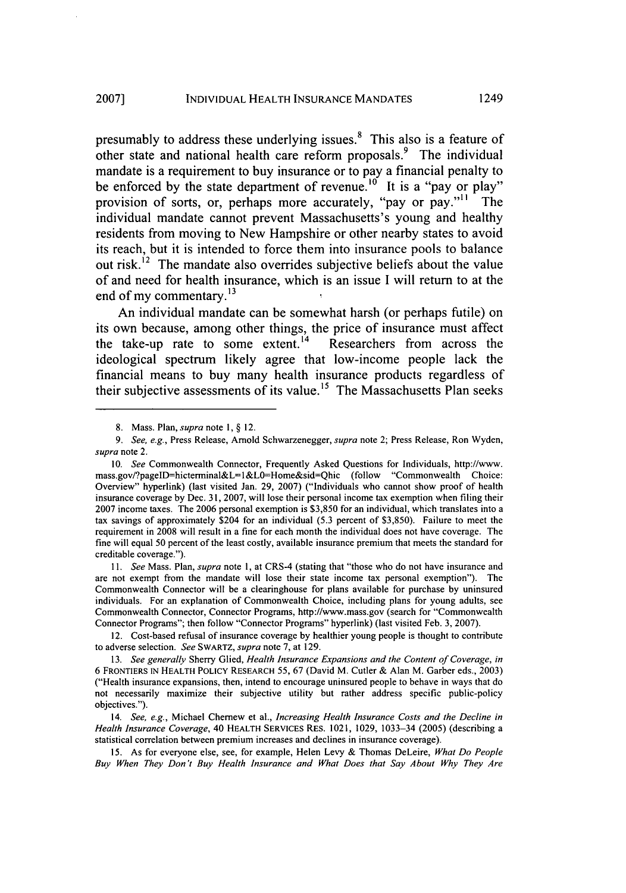presumably to address these underlying issues. 8 This also is a feature of other state and national health care reform proposals.<sup>9</sup> The individual mandate is a requirement to buy insurance or to pay a financial penalty to be enforced by the state department of revenue.<sup>10</sup> It is a "pay or play" provision of sorts, or, perhaps more accurately, "pay or pay."'' The individual mandate cannot prevent Massachusetts's young and healthy residents from moving to New Hampshire or other nearby states to avoid its reach, but it is intended to force them into insurance pools to balance out risk.<sup>12</sup> The mandate also overrides subjective beliefs about the value of and need for health insurance, which is an issue **I** will return to at the end of my commentary. **<sup>13</sup>**

An individual mandate can be somewhat harsh (or perhaps futile) on its own because, among other things, the price of insurance must affect the take-up rate to some extent.<sup>14</sup> Researchers from across the ideological spectrum likely agree that low-income people lack the financial means to buy many health insurance products regardless of their subjective assessments of its value.<sup>15</sup> The Massachusetts Plan seeks

<sup>8.</sup> Mass. Plan, *supra* note **1,** § 12.

*<sup>9.</sup> See, e.g.,* Press Release, Arnold Schwarzenegger, *supra* note 2; Press Release, Ron Wyden, *supra* note 2.

<sup>10.</sup> *See* Commonwealth Connector, Frequently Asked Questions for Individuals, http://www. mass.gov/?pagelD=hicterminal&L=l&LO=Home&sid=Qhic (follow "Commonwealth Choice: Overview" hyperlink) (last visited Jan. 29, 2007) ("Individuals who cannot show proof of health insurance coverage by Dec. 31, 2007, will lose their personal income tax exemption when filing their 2007 income taxes. The 2006 personal exemption is \$3,850 for an individual, which translates into a tax savings of approximately \$204 for an individual (5.3 percent of \$3,850). Failure to meet the requirement in 2008 will result in a fine for each month the individual does not have coverage. The fine will equal 50 percent of the least costly, available insurance premium that meets the standard for creditable coverage.").

*<sup>11.</sup> See* Mass. Plan, *supra* note **1,** at CRS-4 (stating that "those who do not have insurance and are not exempt from the mandate will lose their state income tax personal exemption"). The Commonwealth Connector will be a clearinghouse for plans available for purchase by uninsured individuals. For an explanation of Commonwealth Choice, including plans for young adults, see Commonwealth Connector, Connector Programs, http://www.mass.gov (search for "Commonwealth Connector Programs"; then follow "Connector Programs" hyperlink) (last visited Feb. 3, 2007).

<sup>12.</sup> Cost-based refusal of insurance coverage by healthier young people is thought to contribute to adverse selection. *See* SWARTZ, *supra* note 7, at 129.

<sup>13.</sup> *See generally* Sherry Glied, *Health Insurance Expansions and the Content of Coverage, in* 6 FRONTIERS IN HEALTH POLICY RESEARCH 55, 67 (David M. Cutler & Alan M. Garber eds., 2003) ("Health insurance expansions, then, intend to encourage uninsured people to behave in ways that do not necessarily maximize their subjective utility but rather address specific public-policy objectives.").

<sup>14.</sup> *See, e.g.,* Michael Cherew et al., *Increasing Health Insurance Costs and the Decline in Health Insurance Coverage,* 40 HEALTH SERVICES RES. 1021, 1029, 1033-34 (2005) (describing a statistical correlation between premium increases and declines in insurance coverage).

<sup>15.</sup> As for everyone else, see, for example, Helen Levy & Thomas DeLeire, *What Do People Buy When They Don't Buy Health Insurance and What Does that* Say *About Why They Are*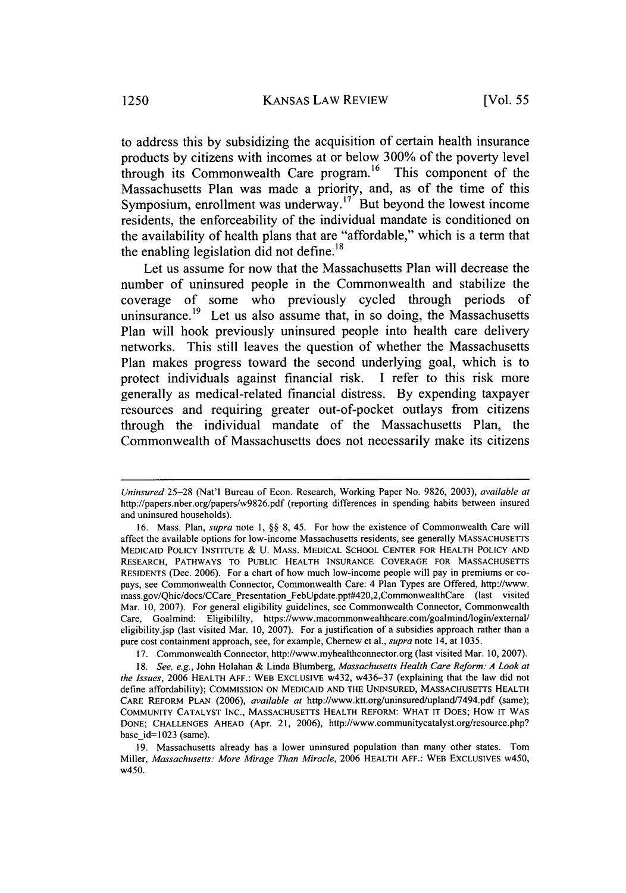to address this by subsidizing the acquisition of certain health insurance products by citizens with incomes at or below 300% of the poverty level through its Commonwealth Care program.<sup>16</sup> This component of the Massachusetts Plan was made a priority, and, as of the time of this Symposium, enrollment was underway.<sup>17</sup> But beyond the lowest income residents, the enforceability of the individual mandate is conditioned on the availability of health plans that are "affordable," which is a term that the enabling legislation did not define.<sup>18</sup>

Let us assume for now that the Massachusetts Plan will decrease the number of uninsured people in the Commonwealth and stabilize the coverage of some who previously cycled through periods of uninsurance.<sup>19</sup> Let us also assume that, in so doing, the Massachusetts Plan will hook previously uninsured people into health care delivery networks. This still leaves the question of whether the Massachusetts Plan makes progress toward the second underlying goal, which is to protect individuals against financial risk. I refer to this risk more generally as medical-related financial distress. By expending taxpayer resources and requiring greater out-of-pocket outlays from citizens through the individual mandate of the Massachusetts Plan, the Commonwealth of Massachusetts does not necessarily make its citizens

17. Commonwealth Connector, http://www.myhealthconnector.org (last visited Mar. 10, 2007).

*Uninsured* 25-28 (Nat'l Bureau of Econ. Research, Working Paper No. 9826, 2003), *available at* http://papers.nber.org/papers/w9826.pdf (reporting differences in spending habits between insured and uninsured households).

<sup>16.</sup> Mass. Plan, *supra* note 1, §§ 8, 45. For how the existence of Commonwealth Care will affect the available options for low-income Massachusetts residents, see generally **MASSACHUSETTS** MEDICAID POLICY INSTITUTE & U. MASS. MEDICAL SCHOOL CENTER FOR HEALTH POLICY AND RESEARCH, PATHWAYS TO PUBLIC HEALTH INSURANCE COVERAGE FOR MASSACHUSETTS RESIDENTS (Dec. 2006). For a chart of how much low-income people will pay in premiums or copays, see Commonwealth Connector, Commonwealth Care: 4 Plan Types are Offered, http://www. mass.gov/Qhic/docs/CCare Presentation FebUpdate.ppt#420,2,CommonwealthCare (last visited Mar. **10,** 2007). For general eligibility guidelines, see Commonwealth Connector, Commonwealth Care, Goalmind: Eligibililty, https://www.macommonwealthcare.com/goalmind/login/extemal/ eligibility.jsp (last visited Mar. 10, 2007). For a justification of a subsidies approach rather than a pure cost containment approach, see, for example, Chernew et al., *supra* note 14, at 1035.

*<sup>18.</sup> See, e.g.,* John Holahan & Linda Blumberg, *Massachusetts Health Care Reform: A Look at the Issues,* 2006 HEALTH AFF.: WEB EXCLUSIVE w432, w436-37 (explaining that the law did not define affordability); COMMISSION ON MEDICAID AND THE UNINSURED, MASSACHUSETTS HEALTH CARE REFORM PLAN (2006), *available at* http://www.ktt.org/uninsured/upland/7494.pdf (same); COMMUNITY CATALYST INC., MASSACHUSETTS HEALTH REFORM: WHAT IT DOES; How IT WAS DONE; CHALLENGES AHEAD (Apr. 21, 2006), http://www.communitycatalyst.org/resource.php? base id=1023 (same).

<sup>19.</sup> Massachusetts already has a lower uninsured population than many other states. Tom Miller, *Massachusetts: More Mirage Than Miracle,* 2006 HEALTH AFF.: WEB EXCLUSIVES w450, w450.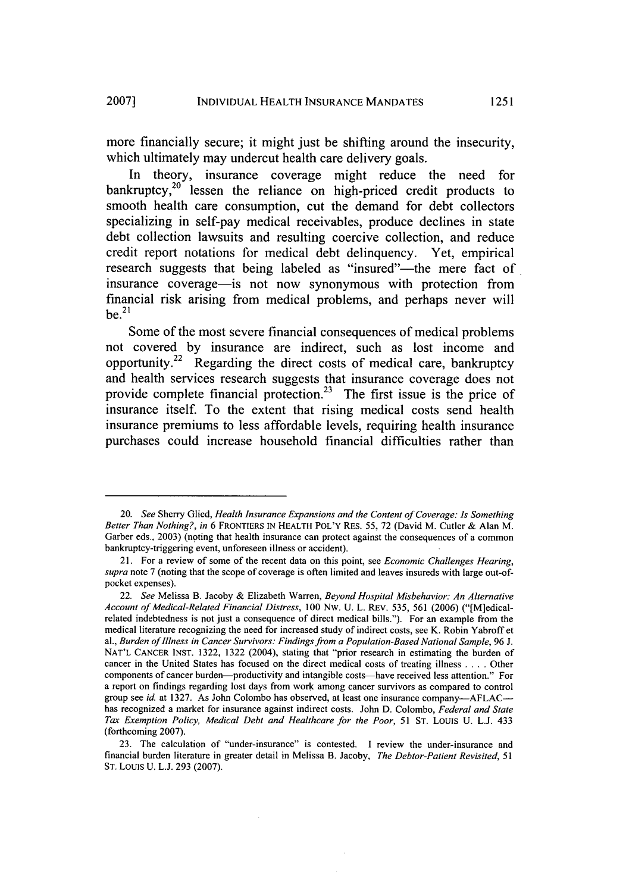more financially secure; it might just be shifting around the insecurity, which ultimately may undercut health care delivery goals.

In theory, insurance coverage might reduce the need for bankruptcy, $20$  lessen the reliance on high-priced credit products to smooth health care consumption, cut the demand for debt collectors specializing in self-pay medical receivables, produce declines in state debt collection lawsuits and resulting coercive collection, and reduce credit report notations for medical debt delinquency. Yet, empirical research suggests that being labeled as "insured"--- the mere fact of insurance coverage-is not now synonymous with protection from financial risk arising from medical problems, and perhaps never will  $be.<sup>21</sup>$ 

Some of the most severe financial consequences of medical problems not covered **by** insurance are indirect, such as lost income and opportunity.<sup>22</sup> Regarding the direct costs of medical care, bankruptcy and health services research suggests that insurance coverage does not provide complete financial protection.<sup>23</sup> The first issue is the price of insurance itself. To the extent that rising medical costs send health insurance premiums to less affordable levels, requiring health insurance purchases could increase household financial difficulties rather than

<sup>20.</sup> *See* Sherry Glied, *Health Insurance Expansions and the Content of Coverage: Is Something Better Than Nothing?, in* 6 FRONTIERS IN HEALTH POL'Y RES. 55, 72 (David M. Cutler & Alan M. Garber eds., 2003) (noting that health insurance can protect against the consequences of a common bankruptcy-triggering event, unforeseen illness or accident).

<sup>21.</sup> For a review of some of the recent data on this point, see *Economic Challenges Hearing, supra* note 7 (noting that the scope of coverage is often limited and leaves insureds with large out-ofpocket expenses).

<sup>22.</sup> *See* Melissa B. Jacoby & Elizabeth Warren, *Beyond Hospital Misbehavior: An Alternative Account of Medical-Related Financial Distress,* 100 Nw. U. L. REV. 535, 561 (2006) ("[M]edicalrelated indebtedness is not just a consequence of direct medical bills."). For an example from the medical literature recognizing the need for increased study of indirect costs, see K. Robin Yabroff et al., *Burden of Illness in Cancer Survivors: Findings from a Population-Based National Sample,* 96 J. NAT'L CANCER INST. 1322, 1322 (2004), stating that "prior research in estimating the burden of cancer in the United States has focused on the direct medical costs of treating illness .... Other components of cancer burden-productivity and intangible costs-have received less attention." For a report on findings regarding lost days from work among cancer survivors as compared to control group see *id.* at 1327. As John Colombo has observed, at least one insurance company---AFLAC--has recognized a market for insurance against indirect costs. John D. Colombo, *Federal and State Tax Exemption Policy, Medical Debt and Healthcare for the Poor,* 51 ST. LOUIS U. L.J. 433 (forthcoming 2007).

<sup>23.</sup> The calculation of "under-insurance" is contested. I review the under-insurance and financial burden literature in greater detail in Melissa B. Jacoby, *The Debtor-Patient Revisited, 51* ST. Louis U. L.J. 293 (2007).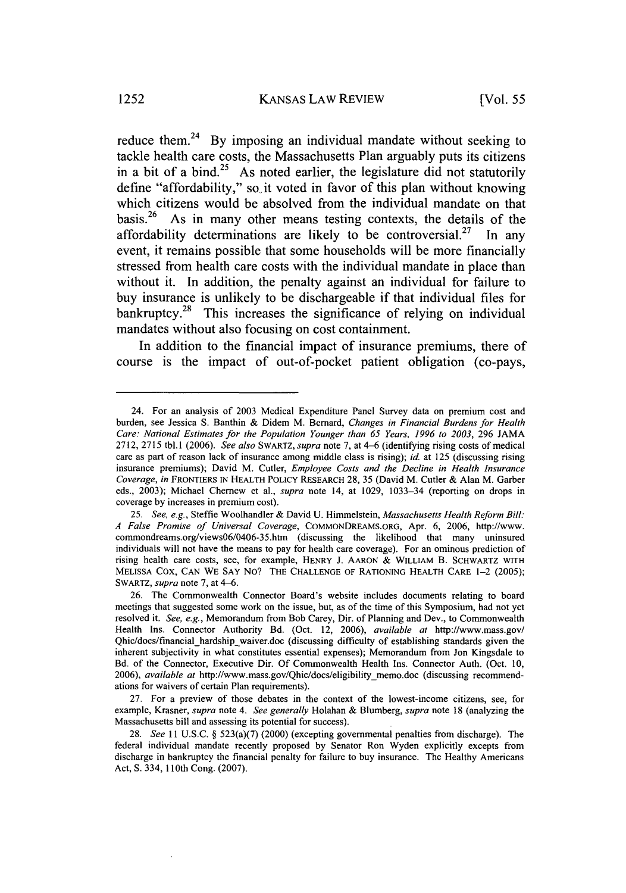reduce them.<sup>24</sup> By imposing an individual mandate without seeking to tackle health care costs, the Massachusetts Plan arguably puts its citizens in a bit of a bind.<sup>25</sup> As noted earlier, the legislature did not statutorily define "affordability," so it voted in favor of this plan without knowing which citizens would be absolved from the individual mandate on that basis.<sup>26</sup> As in many other means testing contexts, the details of the affordability determinations are likely to be controversial.<sup>27</sup> In any event, it remains possible that some households will be more financially stressed from health care costs with the individual mandate in place than without it. In addition, the penalty against an individual for failure to buy insurance is unlikely to be dischargeable if that individual files for bankruptcy.<sup>28</sup> This increases the significance of relying on individual mandates without also focusing on cost containment.

In addition to the financial impact of insurance premiums, there of course is the impact of out-of-pocket patient obligation (co-pays,

27. For a preview of those debates in the context of the lowest-income citizens, see, for example, Krasner, *supra* note 4. *See generally* Holahan & Blumberg, *supra* note 18 (analyzing the Massachusetts bill and assessing its potential for success).

<sup>24.</sup> For an analysis of 2003 Medical Expenditure Panel Survey data on premium cost and burden, see Jessica S. Banthin & Didem M. Bernard, *Changes in Financial Burdens for Health Care. National Estimates for* the *Population Younger than 65 Years, 1996 to 2003,* 296 JAMA 2712, 2715 tbl. 1 (2006). See *also* SWARTZ, *supra* note 7, at 4-6 (identifying rising costs of medical care as part of reason lack of insurance among middle class is rising); *id.* at 125 (discussing rising insurance premiums); David M. Cutler, *Employee Costs and the Decline in Health Insurance* Coverage, *in* FRONTIERS IN HEALTH POLICY RESEARCH 28, 35 (David M. Cutler & Alan M. Garber eds., 2003); Michael Chernew et al., *supra* note 14, at 1029, 1033-34 (reporting on drops in coverage by increases in premium cost).

*<sup>25.</sup> See, e.g.,* Steffie Woolhandler & David U. Himmelstein, *Massachusetts Health Reform Bill: A False Promise of Universal Coverage,* COMMONDREAMS.ORG, Apr. 6, 2006, http://www. commondreams.org/views06/0406-35.htm (discussing the likelihood that many uninsured individuals will not have the means to pay for health care coverage). For an ominous prediction of rising health care costs, see, for example, HENRY J. AARON **&** WILLIAM B. SCHWARTZ WITH MELISSA COX, CAN WE SAY No? THE CHALLENGE OF RATIONING HEALTH CARE **1-2** (2005); SWARTZ, *supra* note 7, at 4-6.

<sup>26.</sup> The Commonwealth Connector Board's website includes documents relating to board meetings that suggested some work on the issue, but, as of the time of this Symposium, had not yet resolved it. *See, e.g.,* Memorandum from Bob Carey, Dir. of Planning and Dev., to Commonwealth Health Ins. Connector Authority Bd. (Oct. 12, 2006), *available at* http://www.mass.gov/ Qhic/docs/financial hardship waiver.doc (discussing difficulty of establishing standards given the inherent subjectivity in what constitutes essential expenses); Memorandum from Jon Kingsdale to Bd. of the Connector, Executive Dir. Of Commonwealth Health Ins. Connector Auth. (Oct. 10, 2006), *available at* http://www.mass.gov/Qhic/docs/eligibility memo.doc (discussing recommendations for waivers of certain Plan requirements).

<sup>28.</sup> *See* 11 U.S.C. § 523(a)(7) (2000) (excepting governmental penalties from discharge). The federal individual mandate recently proposed by Senator Ron Wyden explicitly excepts from discharge in bankruptcy the financial penalty for failure to buy insurance. The Healthy Americans Act, **S.** 334, 110th Cong. (2007).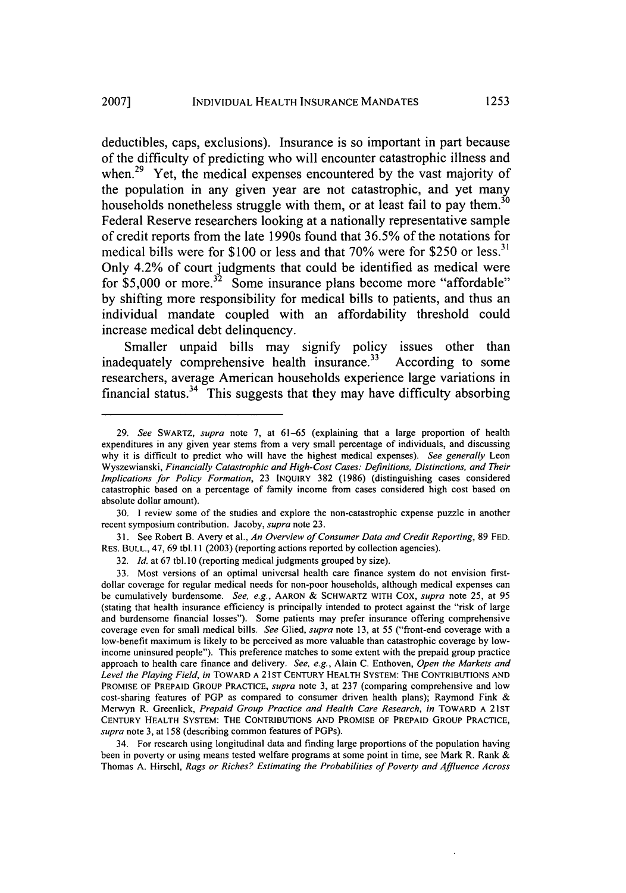deductibles, caps, exclusions). Insurance is so important in part because of the difficulty of predicting who will encounter catastrophic illness and when.<sup>29</sup> Yet, the medical expenses encountered by the vast majority of the population in any given year are not catastrophic, and yet many households nonetheless struggle with them, or at least fail to pay them.<sup>30</sup> Federal Reserve researchers looking at a nationally representative sample of credit reports from the late 1990s found that **36.5%** of the notations for medical bills were for **\$100** or less and that **70%** were for **\$250** or **less. <sup>31</sup>** Only 4.2% of court judgments that could be identified as medical were for  $$5,000$  or more.<sup>32</sup> Some insurance plans become more "affordable" **by** shifting more responsibility for medical bills to patients, and thus an individual mandate coupled with an affordability threshold could increase medical debt delinquency.

Smaller unpaid bills may signify policy issues other than inadequately comprehensive health insurance.<sup>33</sup> According to some researchers, average American households experience large variations in financial status.<sup>34</sup> This suggests that they may have difficulty absorbing

30. I review some of the studies and explore the non-catastrophic expense puzzle in another recent symposium contribution. Jacoby, supra note 23.

31. See Robert B. Avery et al., *An Overview of Consumer Data and Credit Reporting,* 89 FED. RES. BULL., 47, 69 tbl. 11 (2003) (reporting actions reported by collection agencies).

34. For research using longitudinal data and finding large proportions of the population having been in poverty or using means tested welfare programs at some point in time, see Mark R. Rank & Thomas A. Hirschl, *Rags or Riches? Estimating the* Probabilities of *Poverty* and *Affluence Across*

<sup>29.</sup> *See* SWARTZ, *supra* note 7, at 61-65 (explaining that a large proportion of health expenditures in any given year stems from a very small percentage of individuals, and discussing why it is difficult to predict who will have the highest medical expenses). *See generally* Leon Wyszewianski, *Financially Catastrophic and High-Cost Cases: Definitions, Distinctions, and Their Implications for Policy Formation,* 23 INQUIRY 382 (1986) (distinguishing cases considered catastrophic based on a percentage of family income from cases considered high cost based on absolute dollar amount).

<sup>32.</sup> *Id.* at 67 tbl. 10 (reporting medical judgments grouped by size).

<sup>33.</sup> Most versions of an optimal universal health care finance system do not envision firstdollar coverage for regular medical needs for non-poor households, although medical expenses can be cumulatively burdensome. *See, e.g.,* AARON & SCHWARTZ WITH COX, *supra* note 25, at 95 (stating that health insurance efficiency is principally intended to protect against the "risk of large and burdensome financial losses"). Some patients may prefer insurance offering comprehensive coverage even for small medical bills. *See* Glied, *supra* note 13, at 55 ("front-end coverage with a low-benefit maximum is likely to be perceived as more valuable than catastrophic coverage by lowincome uninsured people"). This preference matches to some extent with the prepaid group practice approach to health care finance and delivery. *See, e.g.,* Alain C. Enthoven, *Open the Markets and* Level the Playing Field, in TOWARD A 21ST CENTURY HEALTH SYSTEM: THE CONTRIBUTIONS AND PROMISE OF PREPAID GROUP PRACTICE, *supra* note 3, at 237 (comparing comprehensive and low cost-sharing features of PGP as compared to consumer driven health plans); Raymond Fink & Merwyn R. Greenlick, *Prepaid Group Practice and Health Care Research, in* TOWARD A 21ST CENTURY HEALTH SYSTEM: THE CONTRIBUTIONS AND PROMISE OF PREPAID GROUP PRACTICE, *supra* note 3, at 158 (describing common features of PGPs).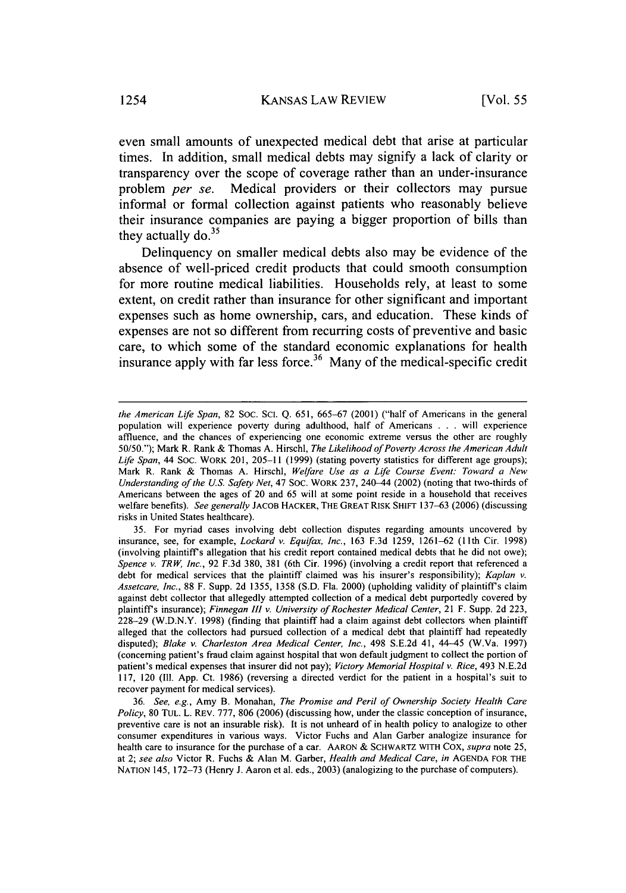even small amounts of unexpected medical debt that arise at particular times. In addition, small medical debts may signify a lack of clarity or transparency over the scope of coverage rather than an under-insurance problem *per se.* Medical providers or their collectors may pursue informal or formal collection against patients who reasonably believe their insurance companies are paying a bigger proportion of bills than they actually do.<sup>35</sup>

Delinquency on smaller medical debts also may be evidence of the absence of well-priced credit products that could smooth consumption for more routine medical liabilities. Households rely, at least to some extent, on credit rather than insurance for other significant and important expenses such as home ownership, cars, and education. These kinds of expenses are not so different from recurring costs of preventive and basic care, to which some of the standard economic explanations for health insurance apply with far less force.<sup>36</sup> Many of the medical-specific credit

*the American Life Span,* 82 Soc. SCI. Q. 651, 665-67 (2001) ("half of Americans in the general population will experience poverty during adulthood, half of Americans . .. will experience affluence, and the chances of experiencing one economic extreme versus the other are roughly 50/50."); Mark R. Rank & Thomas A. Hirschl, *The Likelihood of Poverty Across the American Adult* Life Span, 44 SOC. WORK 201, 205-11 (1999) (stating poverty statistics for different age groups); Mark R. Rank & Thomas A. Hirschl, *Welfare Use as a Life Course Event: Toward a New Understanding of the U.S. Safety Net,* 47 Soc. WORK 237, 240-44 (2002) (noting that two-thirds of Americans between the ages of 20 and 65 will at some point reside in a household that receives welfare benefits). *See generally* JACOB HACKER, THE GREAT RISK **SHIFT** 137-63 (2006) (discussing risks in United States healthcare).

<sup>35.</sup> For myriad cases involving debt collection disputes regarding amounts uncovered by insurance, see, for example, *Lockard v. Equifax, Inc.,* 163 F.3d 1259, 1261-62 (1 lth Cir. 1998) (involving plaintiffs allegation that his credit report contained medical debts that he did not owe); *Spence v. TRW, Inc.,* 92 F.3d 380, 381 (6th Cir. 1996) (involving a credit report that referenced a debt for medical services that the plaintiff claimed was his insurer's responsibility); *Kaplan v. Assetcare, Inc.,* 88 F. Supp. 2d 1355, 1358 (S.D. Fla. 2000) (upholding validity of plaintiff's claim against debt collector that allegedly attempted collection of a medical debt purportedly covered by plaintiffs insurance); *Finnegan* 111 *v. University of Rochester Medical Center,* 21 F. Supp. 2d 223, 228-29 (W.D.N.Y. 1998) (finding that plaintiff had a claim against debt collectors when plaintiff alleged that the collectors had pursued collection of a medical debt that plaintiff had repeatedly disputed); *Blake v. Charleston Area Medical Center, Inc.,* 498 S.E.2d 41, 44-45 (W.Va. 1997) (concerning patient's fraud claim against hospital that won default judgment to collect the portion of patient's medical expenses that insurer did not pay); *Victory Memorial Hospital v. Rice,* 493 N.E.2d 117, 120 (Ill. App. Ct. 1986) (reversing a directed verdict for the patient in a hospital's suit to recover payment for medical services).

<sup>36.</sup> *See, e.g.,* Amy B. Monahan, *The Promise and Peril of Ownership Society Health Care Policy,* 80 **TUL.** L. REv. 777, 806 (2006) (discussing how, under the classic conception of insurance, preventive care is not an insurable risk). It is not unheard of in health policy to analogize to other consumer expenditures in various ways. Victor Fuchs and Alan Garber analogize insurance for health care to insurance for the purchase of a car. AARON **&** SCHWARTZ WITH Cox, *supra* note **25,** at 2; *see also* Victor R. Fuchs & Alan M. Garber, *Health and Medical Care, in* AGENDA FOR THE NATION 145, 172-73 (Henry J. Aaron et al. eds., 2003) (analogizing to the purchase of computers).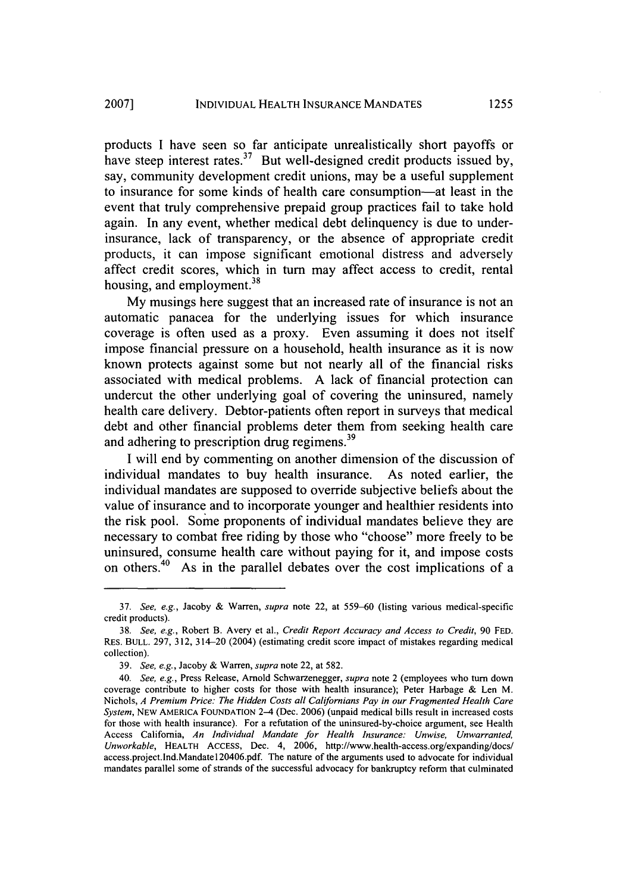products I have seen so far anticipate unrealistically short payoffs or have steep interest rates. $37$  But well-designed credit products issued by, say, community development credit unions, may be a useful supplement to insurance for some kinds of health care consumption-at least in the event that truly comprehensive prepaid group practices fail to take hold again. In any event, whether medical debt delinquency is due to underinsurance, lack of transparency, or the absence of appropriate credit products, it can impose significant emotional distress and adversely affect credit scores, which in turn may affect access to credit, rental housing, and employment.<sup>38</sup>

My musings here suggest that an increased rate of insurance is not an automatic panacea for the underlying issues for which insurance coverage is often used as a proxy. Even assuming it does not itself impose financial pressure on a household, health insurance as it is now known protects against some but not nearly all of the financial risks associated with medical problems. A lack of financial protection can undercut the other underlying goal of covering the uninsured, namely health care delivery. Debtor-patients often report in surveys that medical debt and other financial problems deter them from seeking health care and adhering to prescription drug regimens.<sup>39</sup>

I will end by commenting on another dimension of the discussion of individual mandates to buy health insurance. As noted earlier, the individual mandates are supposed to override subjective beliefs about the value of insurance and to incorporate younger and healthier residents into the risk pool. Some proponents of individual mandates believe they are necessary to combat free riding by those who "choose" more freely to be uninsured, consume health care without paying for it, and impose costs on others.40 As in the parallel debates over the cost implications of a

<sup>37.</sup> See, e.g., Jacoby & Warren, supra note 22, at 559-60 (listing various medical-specific credit products).

<sup>38.</sup> See, e.g., Robert B. Avery et al., *Credit Report Accuracy and Access to Credit,* 90 **FED.** RES. **BULL.** 297, 312, 314-20 (2004) (estimating credit score impact of mistakes regarding medical collection).

<sup>39.</sup> See, e.g., Jacoby & Warren, supra note 22, at 582.

<sup>40.</sup> See, e.g., Press Release, Arnold Schwarzenegger, supra note 2 (employees who turn down coverage contribute to higher costs for those with health insurance); Peter Harbage & Len M. Nichols, *A Premium Price: The Hidden Costs all Californians Pay in our Fragmented Health Care* System, NEW AMERICA FOUNDATION 2-4 (Dec. 2006) (unpaid medical bills result in increased costs for those with health insurance). For a refutation of the uninsured-by-choice argument, see Health Access California, An Individual Mandate for Health Insurance: *Unwise, Unwarranted,* Unworkable, **HEALTH** ACCESS, Dec. 4, 2006, http://www.health-access.org/expanding/docs/ access.project.lnd.Mandatel20406.pdf. The nature of the arguments used to advocate for individual mandates parallel some of strands of the successful advocacy for bankruptcy reform that culminated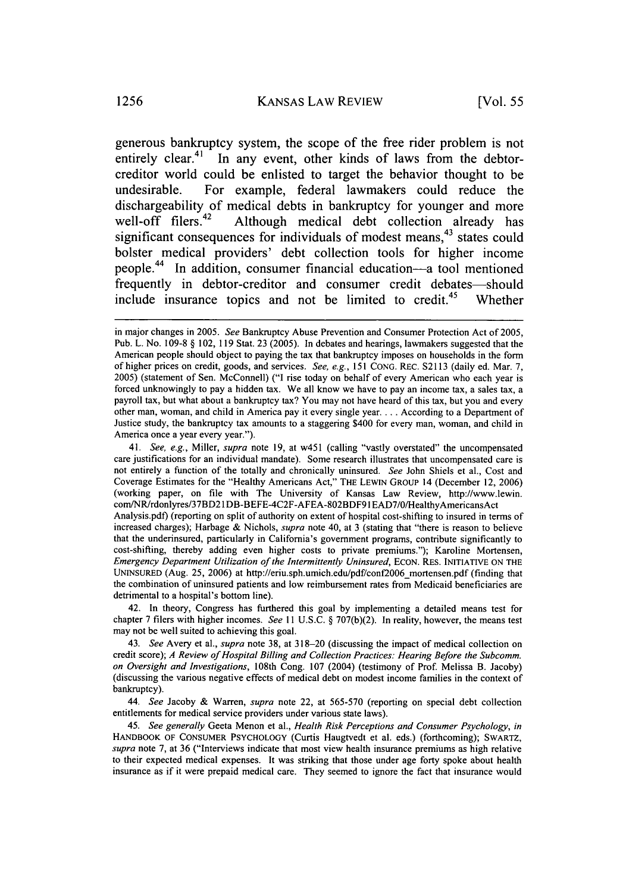generous bankruptcy system, the scope of the free rider problem is not entirely clear.<sup>41</sup> In any event, other kinds of laws from the debtorcreditor world could be enlisted to target the behavior thought to be undesirable. For example, federal lawmakers could reduce the dischargeability of medical debts in bankruptcy for younger and more<br>well-off filers.<sup>42</sup> Although medical debt collection already has Although medical debt collection already has significant consequences for individuals of modest means, $43$  states could bolster medical providers' debt collection tools for higher income people.<sup>44</sup> In addition, consumer financial education-a tool mentioned frequently in debtor-creditor and consumer credit debates—should include insurance topics and not be limited to credit.<sup>45</sup> Whether

41. *See, e.g.,* Miller, *supra* note 19, at w451 (calling "vastly overstated" the uncompensated care justifications for an individual mandate). Some research illustrates that uncompensated care is not entirely a function of the totally and chronically uninsured. *See* John Shiels et al., Cost and Coverage Estimates for the "Healthy Americans Act," THE LEWlN GROUP 14 (December 12, 2006) (working paper, on file with The University of Kansas Law Review, http://www.lewin. com/NR/rdonlyres/37BD21DB-BEFE-4C2F-AFEA-802BDF91 EAD7/0/HealthyAmericansAct Analysis.pdf) (reporting on split of authority on extent of hospital cost-shifting to insured in terms of increased charges); Harbage & Nichols, *supra* note 40, at 3 (stating that "there is reason to believe that the underinsured, particularly in California's government programs, contribute significantly to cost-shifting, thereby adding even higher costs to private premiums."); Karoline Mortensen, *Emergency Department Utilization of the Intermittently Uninsured,* ECON. RES. INITIATIVE ON THE UNINSURED (Aug. 25, 2006) at http://eriu.sph.umich.edu/pdf/conf2006\_mortensen.pdf (finding that the combination of uninsured patients and low reimbursement rates from Medicaid beneficiaries are detrimental to a hospital's bottom line).

42. In theory, Congress has furthered this goal by implementing a detailed means test for chapter 7 filers with higher incomes. *See II* U.S.C. § 707(b)(2). In reality, however, the means test may not be well suited to achieving this goal.

44. *See* Jacoby & Warren, *supra* note 22, at 565-570 (reporting on special debt collection entitlements for medical service providers under various state laws).

45. *See generally* Geeta Menon et al., *Health Risk Perceptions and Consumer Psychology, in* HANDBOOK OF CONSUMER PSYCHOLOGY (Curtis Haugtvedt et al. eds.) (forthcoming); SWARTZ, *supra* note 7, at 36 ("Interviews indicate that most view health insurance premiums as high relative to their expected medical expenses. It was striking that those under age forty spoke about health insurance as if it were prepaid medical care. They seemed to ignore the fact that insurance would

in major changes in 2005. *See* Bankruptcy Abuse Prevention and Consumer Protection Act of 2005, Pub. L. No. 109-8 § 102, 119 Stat. 23 (2005). In debates and hearings, lawmakers suggested that the American people should object to paying the tax that bankruptcy imposes on households in the form of higher prices on credit, goods, and services. *See, e.g.,* 151 CONG. REC. S2113 (daily ed. Mar. 7, 2005) (statement of Sen. McConnell) ("I rise today on behalf of every American who each year is forced unknowingly to pay a hidden tax. We all know we have to pay an income tax, a sales tax, a payroll tax, but what about a bankruptcy tax? You may not have heard of this tax, but you and every other man, woman, and child in America pay it every single year.... According to a Department of Justice study, the bankruptcy tax amounts to a staggering \$400 for every man, woman, and child in America once a year every year.").

<sup>43.</sup> *See* Avery et al., *supra* note 38, at 318-20 (discussing the impact of medical collection on credit score); *A Review of Hospital Billing and Collection Practices. Hearing Before the Subcomm. on Oversight and Investigations,* 108th Cong. 107 (2004) (testimony of Prof Melissa B. Jacoby) (discussing the various negative effects of medical debt on modest income families in the context of bankruptcy).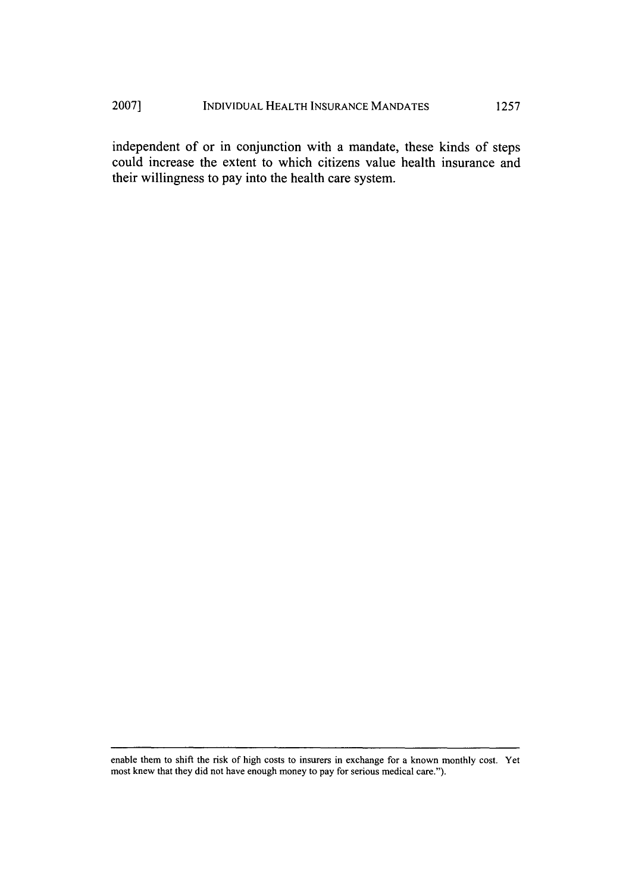## INDIVIDUAL HEALTH INSURANCE MANDATES **2007] 1257**

independent of or in conjunction with a mandate, these kinds of steps could increase the extent to which citizens value health insurance and their willingness to pay into the health care system.

enable them to shift the risk of high costs to insurers in exchange for a known monthly cost. Yet most knew that they did not have enough money to pay for serious medical care.").